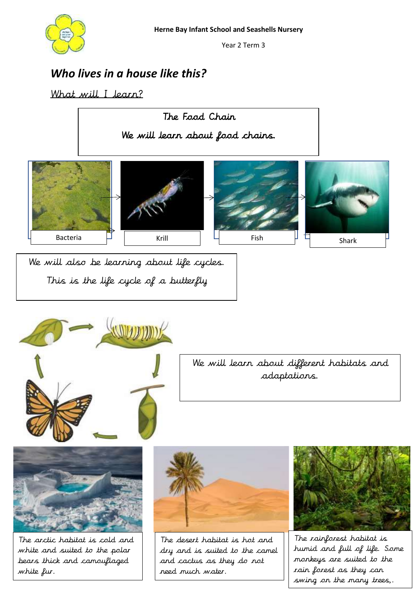

Year 2 Term 3

## *Who lives in a house like this?*

## What will I learn?





We will learn about different habitats and adaptations.



The arctic habitat is cold and white and suited to the polar bears thick and camouflaged white fur.



The desert habitat is hot and dry and is suited to the camel and cactus as they do not need much water.



The rainforest habitat is humid and full of life. Some monkeys are suited to the rain forest as they can swing on the many trees,.